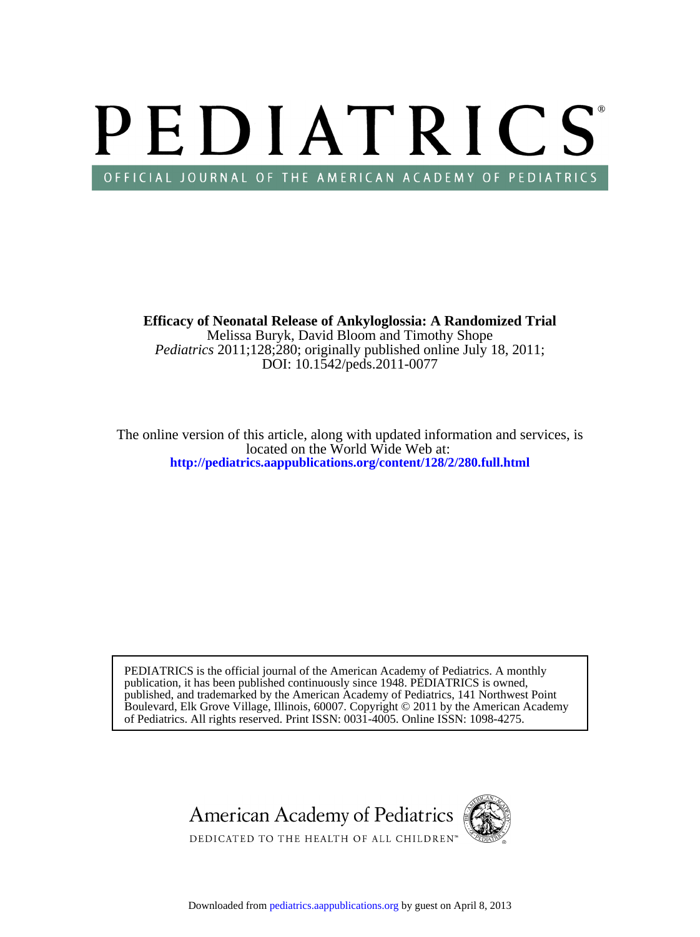# PEDIATRICS OFFICIAL JOURNAL OF THE AMERICAN ACADEMY OF PEDIATRICS

DOI: 10.1542/peds.2011-0077 *Pediatrics* 2011;128;280; originally published online July 18, 2011; Melissa Buryk, David Bloom and Timothy Shope **Efficacy of Neonatal Release of Ankyloglossia: A Randomized Trial**

**<http://pediatrics.aappublications.org/content/128/2/280.full.html>** located on the World Wide Web at: The online version of this article, along with updated information and services, is

of Pediatrics. All rights reserved. Print ISSN: 0031-4005. Online ISSN: 1098-4275. Boulevard, Elk Grove Village, Illinois, 60007. Copyright © 2011 by the American Academy published, and trademarked by the American Academy of Pediatrics, 141 Northwest Point publication, it has been published continuously since 1948. PEDIATRICS is owned, PEDIATRICS is the official journal of the American Academy of Pediatrics. A monthly

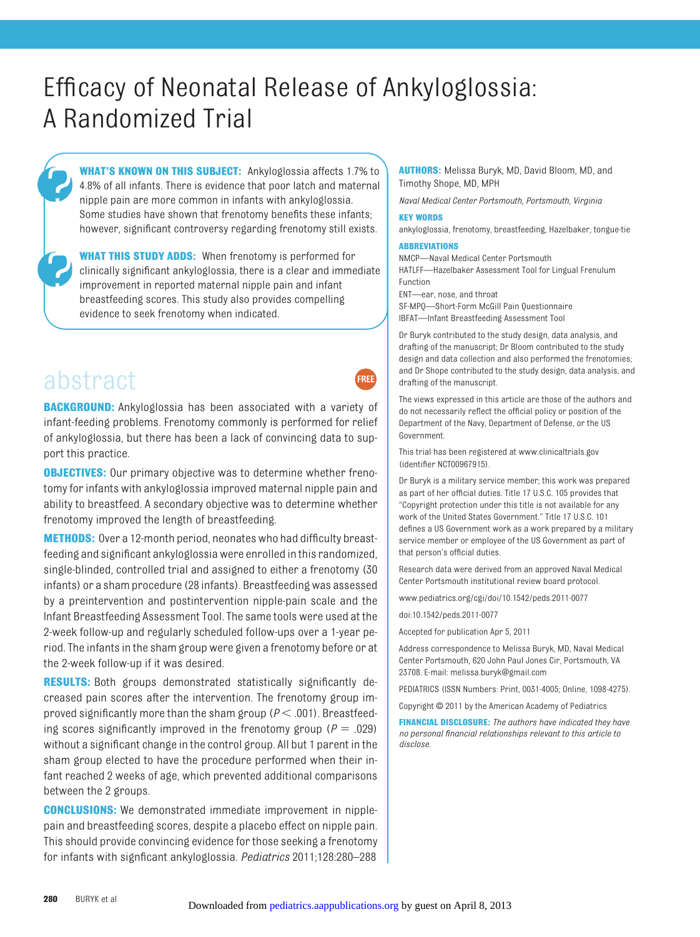# Efficacy of Neonatal Release of Ankyloglossia: A Randomized Trial

**WHAT'S KNOWN ON THIS SUBJECT:** Ankyloglossia affects 1.7% to 4.8% of all infants. There is evidence that poor latch and maternal nipple pain are more common in infants with ankyloglossia. Some studies have shown that frenotomy benefits these infants; however, significant controversy regarding frenotomy still exists.

**WHAT THIS STUDY ADDS:** When frenotomy is performed for clinically significant ankyloglossia, there is a clear and immediate improvement in reported maternal nipple pain and infant breastfeeding scores. This study also provides compelling evidence to seek frenotomy when indicated.

# abstract

**BACKGROUND:** Ankyloglossia has been associated with a variety of infant-feeding problems. Frenotomy commonly is performed for relief of ankyloglossia, but there has been a lack of convincing data to support this practice.

**OBJECTIVES:** Our primary objective was to determine whether frenotomy for infants with ankyloglossia improved maternal nipple pain and ability to breastfeed. A secondary objective was to determine whether frenotomy improved the length of breastfeeding.

**METHODS:** Over a 12-month period, neonates who had difficulty breastfeeding and significant ankyloglossia were enrolled in this randomized, single-blinded, controlled trial and assigned to either a frenotomy (30 infants) or a sham procedure (28 infants). Breastfeeding was assessed by a preintervention and postintervention nipple-pain scale and the Infant Breastfeeding Assessment Tool. The same tools were used at the 2-week follow-up and regularly scheduled follow-ups over a 1-year period. The infants in the sham group were given a frenotomy before or at the 2-week follow-up if it was desired.

**RESULTS:** Both groups demonstrated statistically significantly decreased pain scores after the intervention. The frenotomy group improved significantly more than the sham group  $(P < .001)$ . Breastfeeding scores significantly improved in the frenotomy group ( $P = .029$ ) without a significant change in the control group. All but 1 parent in the sham group elected to have the procedure performed when their infant reached 2 weeks of age, which prevented additional comparisons between the 2 groups.

**CONCLUSIONS:** We demonstrated immediate improvement in nipplepain and breastfeeding scores, despite a placebo effect on nipple pain. This should provide convincing evidence for those seeking a frenotomy for infants with signficant ankyloglossia. *Pediatrics* 2011;128:280–288

**AUTHORS:** Melissa Buryk, MD, David Bloom, MD, and Timothy Shope, MD, MPH

*Naval Medical Center Portsmouth, Portsmouth, Virginia*

#### **KEY WORDS**

**FREE** 

ankyloglossia, frenotomy, breastfeeding, Hazelbaker, tongue-tie

#### **ABBREVIATIONS**

NMCP—Naval Medical Center Portsmouth HATLFF—Hazelbaker Assessment Tool for Lingual Frenulum Function ENT—ear, nose, and throat

SF-MPQ—Short-Form McGill Pain Questionnaire IBFAT—Infant Breastfeeding Assessment Tool

Dr Buryk contributed to the study design, data analysis, and drafting of the manuscript; Dr Bloom contributed to the study design and data collection and also performed the frenotomies; and Dr Shope contributed to the study design, data analysis, and drafting of the manuscript.

The views expressed in this article are those of the authors and do not necessarily reflect the official policy or position of the Department of the Navy, Department of Defense, or the US Government.

This trial has been registered at www.clinicaltrials.gov (identifier NCT00967915).

Dr Buryk is a military service member; this work was prepared as part of her official duties. Title 17 U.S.C. 105 provides that "Copyright protection under this title is not available for any work of the United States Government." Title 17 U.S.C. 101 defines a US Government work as a work prepared by a military service member or employee of the US Government as part of that person's official duties.

Research data were derived from an approved Naval Medical Center Portsmouth institutional review board protocol.

www.pediatrics.org/cgi/doi/10.1542/peds.2011-0077

doi:10.1542/peds.2011-0077

Accepted for publication Apr 5, 2011

Address correspondence to Melissa Buryk, MD, Naval Medical Center Portsmouth, 620 John Paul Jones Cir, Portsmouth, VA 23708. E-mail: melissa.buryk@gmail.com

PEDIATRICS (ISSN Numbers: Print, 0031-4005; Online, 1098-4275).

Copyright © 2011 by the American Academy of Pediatrics

**FINANCIAL DISCLOSURE:** *The authors have indicated they have no personal financial relationships relevant to this article to disclose.*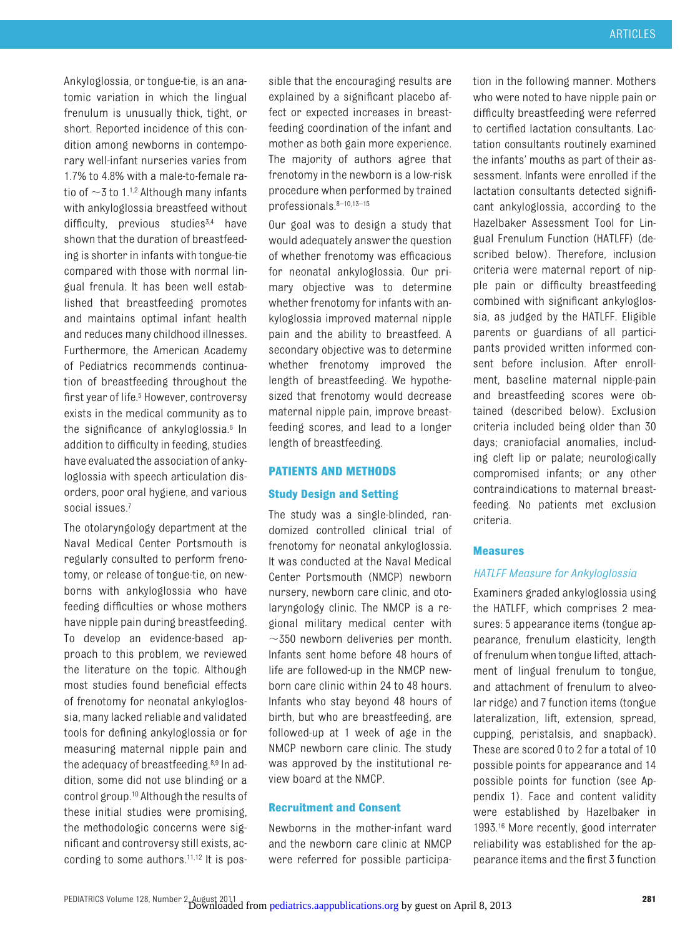Ankyloglossia, or tongue-tie, is an anatomic variation in which the lingual frenulum is unusually thick, tight, or short. Reported incidence of this condition among newborns in contemporary well-infant nurseries varies from 1.7% to 4.8% with a male-to-female ratio of  $\sim$ 3 to 1.<sup>1[,2](#page-7-1)</sup> Although many infants with ankyloglossia breastfeed without  $difficultv.$  previous studies<sup>3,[4](#page-7-3)</sup> have shown that the duration of breastfeeding is shorter in infants with tongue-tie compared with those with normal lingual frenula. It has been well established that breastfeeding promotes and maintains optimal infant health and reduces many childhood illnesses. Furthermore, the American Academy of Pediatrics recommends continuation of breastfeeding throughout the first year of life.<sup>5</sup> However, controversy exists in the medical community as to the significance of ankyloglossia[.6](#page-7-5) In addition to difficulty in feeding, studies have evaluated the association of ankyloglossia with speech articulation disorders, poor oral hygiene, and various social issues.<sup>7</sup>

The otolaryngology department at the Naval Medical Center Portsmouth is regularly consulted to perform frenotomy, or release of tongue-tie, on newborns with ankyloglossia who have feeding difficulties or whose mothers have nipple pain during breastfeeding. To develop an evidence-based approach to this problem, we reviewed the literature on the topic. Although most studies found beneficial effects of frenotomy for neonatal ankyloglossia, many lacked reliable and validated tools for defining ankyloglossia or for measuring maternal nipple pain and the adequacy of breastfeeding[.8,](#page-7-7)[9](#page-7-8) In addition, some did not use blinding or a control group[.10](#page-7-9) Although the results of these initial studies were promising, the methodologic concerns were significant and controversy still exists, according to some authors[.11](#page-7-10)[,12](#page-7-11) It is possible that the encouraging results are explained by a significant placebo affect or expected increases in breastfeeding coordination of the infant and mother as both gain more experience. The majority of authors agree that frenotomy in the newborn is a low-risk procedure when performed by trained professionals[.8](#page-7-7)[–10](#page-7-9)[,13](#page-7-12)[–15](#page-7-13)

Our goal was to design a study that would adequately answer the question of whether frenotomy was efficacious for neonatal ankyloglossia. Our primary objective was to determine whether frenotomy for infants with ankyloglossia improved maternal nipple pain and the ability to breastfeed. A secondary objective was to determine whether frenotomy improved the length of breastfeeding. We hypothesized that frenotomy would decrease maternal nipple pain, improve breastfeeding scores, and lead to a longer length of breastfeeding.

#### **PATIENTS AND METHODS**

#### **Study Design and Setting**

The study was a single-blinded, randomized controlled clinical trial of frenotomy for neonatal ankyloglossia. It was conducted at the Naval Medical Center Portsmouth (NMCP) newborn nursery, newborn care clinic, and otolaryngology clinic. The NMCP is a regional military medical center with  $\sim$ 350 newborn deliveries per month. Infants sent home before 48 hours of life are followed-up in the NMCP newborn care clinic within 24 to 48 hours. Infants who stay beyond 48 hours of birth, but who are breastfeeding, are followed-up at 1 week of age in the NMCP newborn care clinic. The study was approved by the institutional review board at the NMCP.

### **Recruitment and Consent**

Newborns in the mother-infant ward and the newborn care clinic at NMCP were referred for possible participation in the following manner. Mothers who were noted to have nipple pain or difficulty breastfeeding were referred to certified lactation consultants. Lactation consultants routinely examined the infants' mouths as part of their assessment. Infants were enrolled if the lactation consultants detected significant ankyloglossia, according to the Hazelbaker Assessment Tool for Lingual Frenulum Function (HATLFF) (described below). Therefore, inclusion criteria were maternal report of nipple pain or difficulty breastfeeding combined with significant ankyloglossia, as judged by the HATLFF. Eligible parents or guardians of all participants provided written informed consent before inclusion. After enrollment, baseline maternal nipple-pain and breastfeeding scores were obtained (described below). Exclusion criteria included being older than 30 days; craniofacial anomalies, including cleft lip or palate; neurologically compromised infants; or any other contraindications to maternal breastfeeding. No patients met exclusion criteria.

#### **Measures**

#### *HATLFF Measure for Ankyloglossia*

Examiners graded ankyloglossia using the HATLFF, which comprises 2 measures: 5 appearance items (tongue appearance, frenulum elasticity, length of frenulum when tongue lifted, attachment of lingual frenulum to tongue, and attachment of frenulum to alveolar ridge) and 7 function items (tongue lateralization, lift, extension, spread, cupping, peristalsis, and snapback). These are scored 0 to 2 for a total of 10 possible points for appearance and 14 possible points for function (see Appendix 1). Face and content validity were established by Hazelbaker in 1993[.16](#page-7-14) More recently, good interrater reliability was established for the appearance items and the first 3 function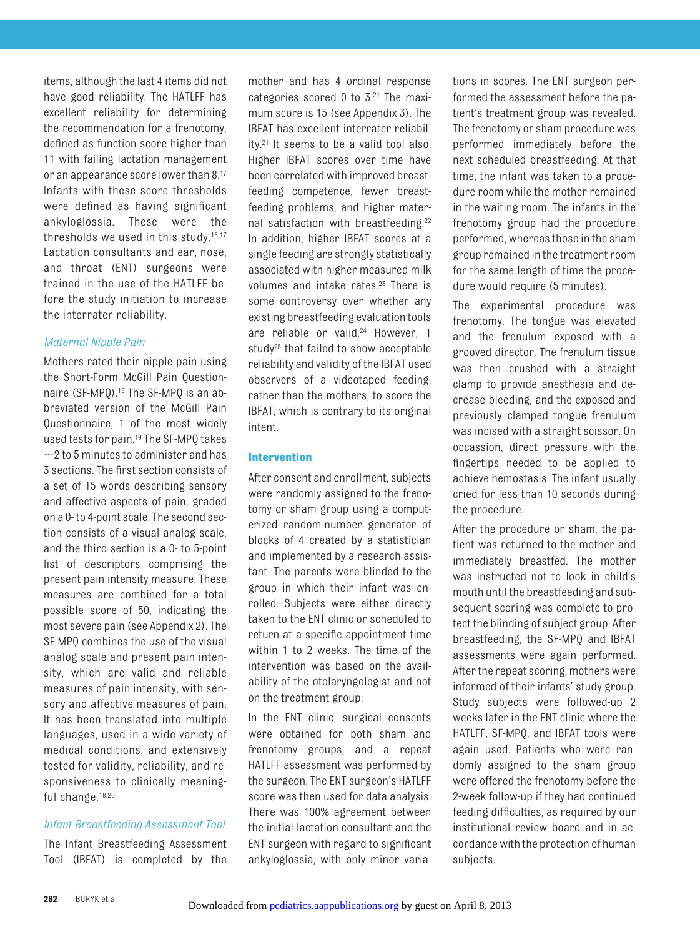items, although the last 4 items did not have good reliability. The HATLFF has excellent reliability for determining the recommendation for a frenotomy, defined as function score higher than 11 with failing lactation management or an appearance score lower than 8[.17](#page-7-15) Infants with these score thresholds were defined as having significant ankyloglossia. These were the thresholds we used in this study[.16,](#page-7-14)[17](#page-7-15) Lactation consultants and ear, nose, and throat (ENT) surgeons were trained in the use of the HATLFF before the study initiation to increase the interrater reliability.

# *Maternal Nipple Pain*

Mothers rated their nipple pain using the Short-Form McGill Pain Questionnaire (SF-MPQ)[.18](#page-7-16) The SF-MPQ is an abbreviated version of the McGill Pain Questionnaire, 1 of the most widely used tests for pain[.19](#page-7-17) The SF-MPQ takes  $\sim$ 2 to 5 minutes to administer and has 3 sections. The first section consists of a set of 15 words describing sensory and affective aspects of pain, graded on a 0- to 4-point scale. The second section consists of a visual analog scale, and the third section is a 0- to 5-point list of descriptors comprising the present pain intensity measure. These measures are combined for a total possible score of 50, indicating the most severe pain (see Appendix 2). The SF-MPQ combines the use of the visual analog scale and present pain intensity, which are valid and reliable measures of pain intensity, with sensory and affective measures of pain. It has been translated into multiple languages, used in a wide variety of medical conditions, and extensively tested for validity, reliability, and responsiveness to clinically meaning-ful change.<sup>18,[20](#page-7-18)</sup>

# *Infant Breastfeeding Assessment Tool*

The Infant Breastfeeding Assessment Tool (IBFAT) is completed by the

mother and has 4 ordinal response categories scored 0 to 3[.21](#page-7-19) The maximum score is 15 (see Appendix 3). The IBFAT has excellent interrater reliability[.21](#page-7-19) It seems to be a valid tool also. Higher IBFAT scores over time have been correlated with improved breastfeeding competence, fewer breastfeeding problems, and higher maternal satisfaction with breastfeeding[.22](#page-7-20) In addition, higher IBFAT scores at a single feeding are strongly statistically associated with higher measured milk volumes and intake rates[.23](#page-7-21) There is some controversy over whether any existing breastfeeding evaluation tools are reliable or valid.<sup>24</sup> However, 1 study<sup>25</sup> that failed to show acceptable reliability and validity of the IBFAT used observers of a videotaped feeding, rather than the mothers, to score the IBFAT, which is contrary to its original intent.

# **Intervention**

After consent and enrollment, subjects were randomly assigned to the frenotomy or sham group using a computerized random-number generator of blocks of 4 created by a statistician and implemented by a research assistant. The parents were blinded to the group in which their infant was enrolled. Subjects were either directly taken to the ENT clinic or scheduled to return at a specific appointment time within 1 to 2 weeks. The time of the intervention was based on the availability of the otolaryngologist and not on the treatment group.

In the ENT clinic, surgical consents were obtained for both sham and frenotomy groups, and a repeat HATLFF assessment was performed by the surgeon. The ENT surgeon's HATLFF score was then used for data analysis. There was 100% agreement between the initial lactation consultant and the ENT surgeon with regard to significant ankyloglossia, with only minor variations in scores. The ENT surgeon performed the assessment before the patient's treatment group was revealed. The frenotomy or sham procedure was performed immediately before the next scheduled breastfeeding. At that time, the infant was taken to a procedure room while the mother remained in the waiting room. The infants in the frenotomy group had the procedure performed, whereas those in the sham group remained in the treatment room for the same length of time the procedure would require (5 minutes).

The experimental procedure was frenotomy. The tongue was elevated and the frenulum exposed with a grooved director. The frenulum tissue was then crushed with a straight clamp to provide anesthesia and decrease bleeding, and the exposed and previously clamped tongue frenulum was incised with a straight scissor. On occassion, direct pressure with the fingertips needed to be applied to achieve hemostasis. The infant usually cried for less than 10 seconds during the procedure.

After the procedure or sham, the patient was returned to the mother and immediately breastfed. The mother was instructed not to look in child's mouth until the breastfeeding and subsequent scoring was complete to protect the blinding of subject group. After breastfeeding, the SF-MPQ and IBFAT assessments were again performed. After the repeat scoring, mothers were informed of their infants' study group. Study subjects were followed-up 2 weeks later in the ENT clinic where the HATLFF, SF-MPQ, and IBFAT tools were again used. Patients who were randomly assigned to the sham group were offered the frenotomy before the 2-week follow-up if they had continued feeding difficulties, as required by our institutional review board and in accordance with the protection of human subjects.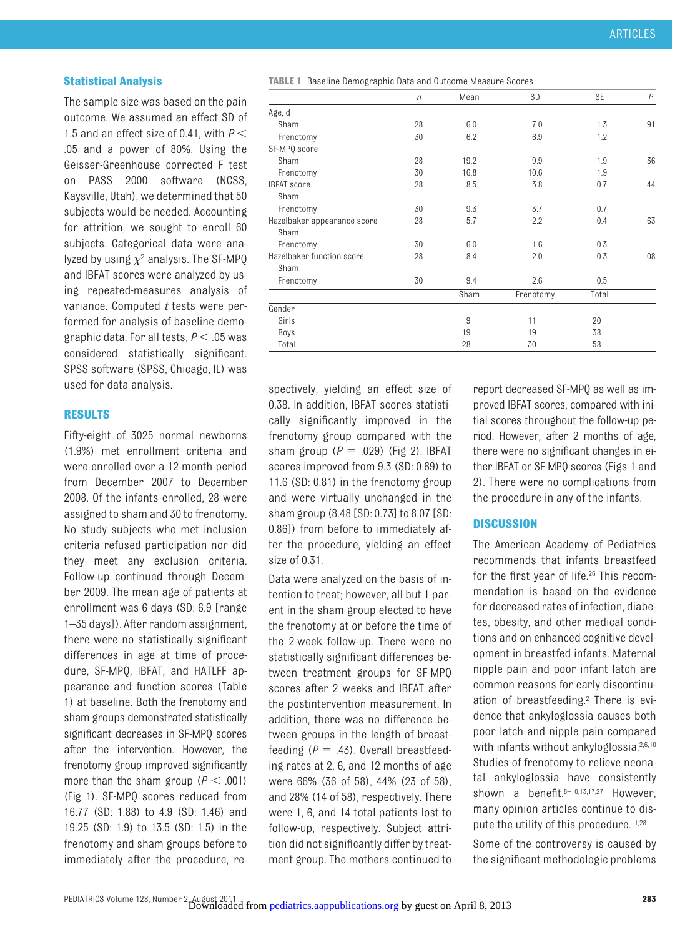#### **Statistical Analysis**

The sample size was based on the pain outcome. We assumed an effect SD of 1.5 and an effect size of 0.41, with *P* .05 and a power of 80%. Using the Geisser-Greenhouse corrected F test on PASS 2000 software (NCSS, Kaysville, Utah), we determined that 50 subjects would be needed. Accounting for attrition, we sought to enroll 60 subjects. Categorical data were analyzed by using  $\chi^2$  analysis. The SF-MPQ and IBFAT scores were analyzed by using repeated-measures analysis of variance. Computed *t* tests were performed for analysis of baseline demographic data. For all tests,  $P < .05$  was considered statistically significant. SPSS software (SPSS, Chicago, IL) was used for data analysis.

#### **RESULTS**

Fifty-eight of 3025 normal newborns (1.9%) met enrollment criteria and were enrolled over a 12-month period from December 2007 to December 2008. Of the infants enrolled, 28 were assigned to sham and 30 to frenotomy. No study subjects who met inclusion criteria refused participation nor did they meet any exclusion criteria. Follow-up continued through December 2009. The mean age of patients at enrollment was 6 days (SD: 6.9 [range 1–35 days]). After random assignment, there were no statistically significant differences in age at time of procedure, SF-MPQ, IBFAT, and HATLFF appearance and function scores (Table [1\)](#page-4-0) at baseline. Both the frenotomy and sham groups demonstrated statistically significant decreases in SF-MPQ scores after the intervention. However, the frenotomy group improved significantly more than the sham group ( $P < .001$ ) [\(Fig 1\)](#page-5-0). SF-MPQ scores reduced from 16.77 (SD: 1.88) to 4.9 (SD: 1.46) and 19.25 (SD: 1.9) to 13.5 (SD: 1.5) in the frenotomy and sham groups before to immediately after the procedure, re<span id="page-4-0"></span>**TABLE 1** Baseline Demographic Data and Outcome Measure Scores

|                             | $\eta$ | Mean | SD        | SE    | $\overline{P}$ |  |
|-----------------------------|--------|------|-----------|-------|----------------|--|
| Age, d                      |        |      |           |       |                |  |
| Sham                        | 28     | 6.0  | 7.0       | 1.3   | .91            |  |
| Frenotomy                   | 30     | 6.2  | 6.9       | 1.2   |                |  |
| SF-MPQ score                |        |      |           |       |                |  |
| Sham                        | 28     | 19.2 | 9.9       | 1.9   | .36            |  |
| Frenotomy                   | 30     | 16.8 | 10.6      | 1.9   |                |  |
| <b>IBFAT</b> score          | 28     | 8.5  | 3.8       | 0.7   | .44            |  |
| Sham                        |        |      |           |       |                |  |
| Frenotomy                   | 30     | 9.3  | 3.7       | 0.7   |                |  |
| Hazelbaker appearance score | 28     | 5.7  | 2.2       | 0.4   | .63            |  |
| Sham                        |        |      |           |       |                |  |
| Frenotomy                   | 30     | 6.0  | 1.6       | 0.3   |                |  |
| Hazelbaker function score   | 28     | 8.4  | 2.0       | 0.3   | .08            |  |
| Sham                        |        |      |           |       |                |  |
| Frenotomy                   | 30     | 9.4  | 2.6       | 0.5   |                |  |
|                             |        | Sham | Frenotomy | Total |                |  |
| Gender                      |        |      |           |       |                |  |
| Girls                       |        | 9    | 11        | 20    |                |  |
| Boys                        |        | 19   | 19        | 38    |                |  |
| Total                       |        | 28   | 30        | 58    |                |  |

spectively, yielding an effect size of 0.38. In addition, IBFAT scores statistically significantly improved in the frenotomy group compared with the sham group  $(P = .029)$  [\(Fig 2\)](#page-5-1). IBFAT scores improved from 9.3 (SD: 0.69) to 11.6 (SD: 0.81) in the frenotomy group and were virtually unchanged in the sham group (8.48 [SD: 0.73] to 8.07 [SD: 0.86]) from before to immediately after the procedure, yielding an effect size of 0.31.

Data were analyzed on the basis of intention to treat; however, all but 1 parent in the sham group elected to have the frenotomy at or before the time of the 2-week follow-up. There were no statistically significant differences between treatment groups for SF-MPQ scores after 2 weeks and IBFAT after the postintervention measurement. In addition, there was no difference between groups in the length of breastfeeding  $(P = .43)$ . Overall breastfeeding rates at 2, 6, and 12 months of age were 66% (36 of 58), 44% (23 of 58), and 28% (14 of 58), respectively. There were 1, 6, and 14 total patients lost to follow-up, respectively. Subject attrition did not significantly differ by treatment group. The mothers continued to

report decreased SF-MPQ as well as improved IBFAT scores, compared with initial scores throughout the follow-up period. However, after 2 months of age, there were no significant changes in either IBFAT or SF-MPQ scores [\(Figs 1 and](#page-5-1) [2\)](#page-5-1). There were no complications from the procedure in any of the infants.

#### **DISCUSSION**

The American Academy of Pediatrics recommends that infants breastfeed for the first year of life.<sup>26</sup> This recommendation is based on the evidence for decreased rates of infection, diabetes, obesity, and other medical conditions and on enhanced cognitive development in breastfed infants. Maternal nipple pain and poor infant latch are common reasons for early discontinuation of breastfeeding[.2](#page-7-1) There is evidence that ankyloglossia causes both poor latch and nipple pain compared with infants without ankyloglossia.<sup>2,[6](#page-7-5)[,10](#page-7-9)</sup> Studies of frenotomy to relieve neonatal ankyloglossia have consistently shown a benefit[.8](#page-7-7)-10,[13,](#page-7-12)[17](#page-7-15)[,27](#page-7-25) However, many opinion articles continue to dis-pute the utility of this procedure.<sup>11,[28](#page-7-26)</sup>

Some of the controversy is caused by the significant methodologic problems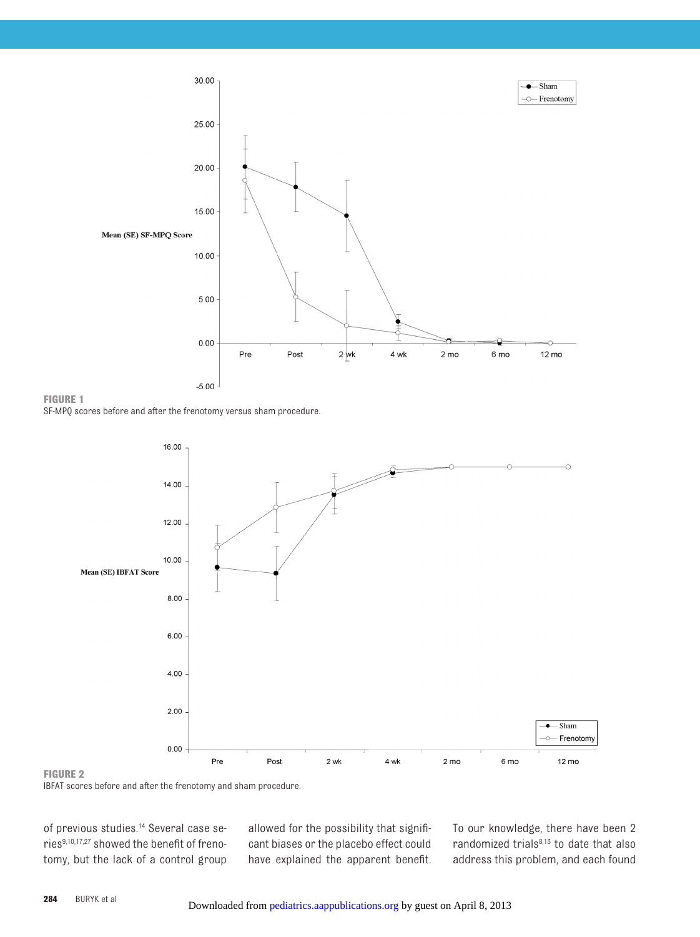

<span id="page-5-0"></span>**FIGURE 1**

SF-MPQ scores before and after the frenotomy versus sham procedure.



## <span id="page-5-1"></span>**FIGURE 2**

IBFAT scores before and after the frenotomy and sham procedure.

of previous studies[.14](#page-7-27) Several case serie[s9](#page-7-8)[,10](#page-7-9)[,17](#page-7-15)[,27](#page-7-25) showed the benefit of frenotomy, but the lack of a control group

allowed for the possibility that significant biases or the placebo effect could have explained the apparent benefit. To our knowledge, there have been 2 randomized trials<sup>8[,13](#page-7-12)</sup> to date that also address this problem, and each found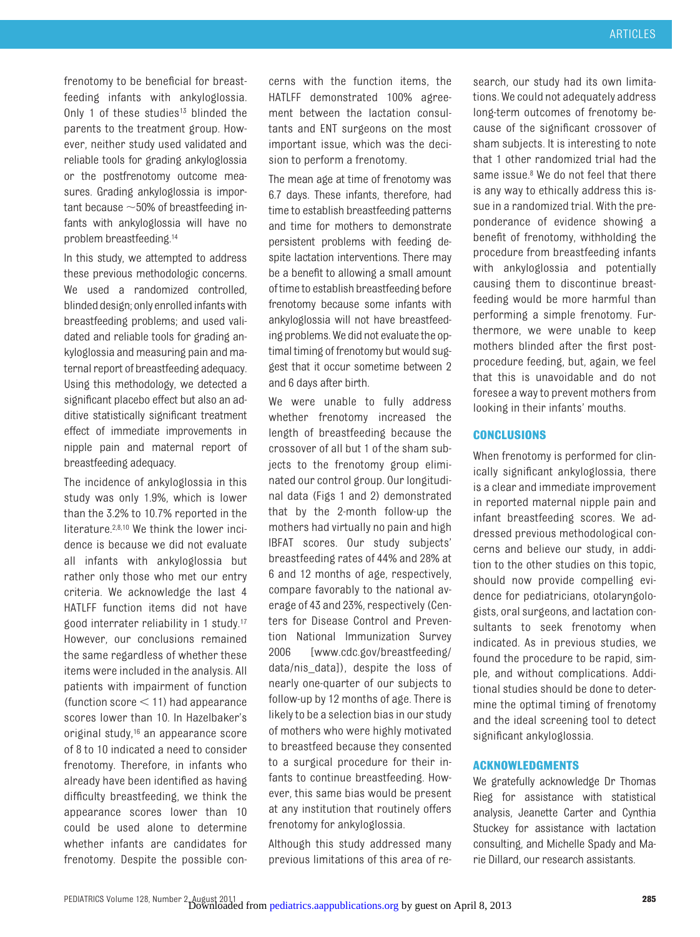frenotomy to be beneficial for breastfeeding infants with ankyloglossia. Only 1 of these studies<sup>13</sup> blinded the parents to the treatment group. However, neither study used validated and reliable tools for grading ankyloglossia or the postfrenotomy outcome measures. Grading ankyloglossia is important because  $\sim$  50% of breastfeeding infants with ankyloglossia will have no problem breastfeeding[.14](#page-7-27)

In this study, we attempted to address these previous methodologic concerns. We used a randomized controlled, blinded design; only enrolled infants with breastfeeding problems; and used validated and reliable tools for grading ankyloglossia and measuring pain and maternal report of breastfeeding adequacy. Using this methodology, we detected a significant placebo effect but also an additive statistically significant treatment effect of immediate improvements in nipple pain and maternal report of breastfeeding adequacy.

The incidence of ankyloglossia in this study was only 1.9%, which is lower than the 3.2% to 10.7% reported in the literature[.2,](#page-7-1)[8](#page-7-7)[,10](#page-7-9) We think the lower incidence is because we did not evaluate all infants with ankyloglossia but rather only those who met our entry criteria. We acknowledge the last 4 HATLFF function items did not have good interrater reliability in 1 study[.17](#page-7-15) However, our conclusions remained the same regardless of whether these items were included in the analysis. All patients with impairment of function (function score  $\leq$  11) had appearance scores lower than 10. In Hazelbaker's original study,<sup>16</sup> an appearance score of 8 to 10 indicated a need to consider frenotomy. Therefore, in infants who already have been identified as having difficulty breastfeeding, we think the appearance scores lower than 10 could be used alone to determine whether infants are candidates for frenotomy. Despite the possible concerns with the function items, the HATLFF demonstrated 100% agreement between the lactation consultants and ENT surgeons on the most important issue, which was the decision to perform a frenotomy.

The mean age at time of frenotomy was 6.7 days. These infants, therefore, had time to establish breastfeeding patterns and time for mothers to demonstrate persistent problems with feeding despite lactation interventions. There may be a benefit to allowing a small amount oftimeto establish breastfeeding before frenotomy because some infants with ankyloglossia will not have breastfeeding problems. We did not evaluate the optimal timing of frenotomy but would suggest that it occur sometime between 2 and 6 days after birth.

We were unable to fully address whether frenotomy increased the length of breastfeeding because the crossover of all but 1 of the sham subjects to the frenotomy group eliminated our control group. Our longitudinal data [\(Figs 1 and 2\)](#page-5-1) demonstrated that by the 2-month follow-up the mothers had virtually no pain and high IBFAT scores. Our study subjects' breastfeeding rates of 44% and 28% at 6 and 12 months of age, respectively, compare favorably to the national average of 43 and 23%, respectively (Centers for Disease Control and Prevention National Immunization Survey 2006 [www.cdc.gov/breastfeeding/ data/nis\_data]), despite the loss of nearly one-quarter of our subjects to follow-up by 12 months of age. There is likely to be a selection bias in our study of mothers who were highly motivated to breastfeed because they consented to a surgical procedure for their infants to continue breastfeeding. However, this same bias would be present at any institution that routinely offers frenotomy for ankyloglossia.

Although this study addressed many previous limitations of this area of re-

search, our study had its own limitations. We could not adequately address long-term outcomes of frenotomy because of the significant crossover of sham subjects. It is interesting to note that 1 other randomized trial had the same issue.<sup>8</sup> We do not feel that there is any way to ethically address this issue in a randomized trial. With the preponderance of evidence showing a benefit of frenotomy, withholding the procedure from breastfeeding infants with ankyloglossia and potentially causing them to discontinue breastfeeding would be more harmful than performing a simple frenotomy. Furthermore, we were unable to keep mothers blinded after the first postprocedure feeding, but, again, we feel that this is unavoidable and do not foresee a way to prevent mothers from looking in their infants' mouths.

## **CONCLUSIONS**

When frenotomy is performed for clinically significant ankyloglossia, there is a clear and immediate improvement in reported maternal nipple pain and infant breastfeeding scores. We addressed previous methodological concerns and believe our study, in addition to the other studies on this topic, should now provide compelling evidence for pediatricians, otolaryngologists, oral surgeons, and lactation consultants to seek frenotomy when indicated. As in previous studies, we found the procedure to be rapid, simple, and without complications. Additional studies should be done to determine the optimal timing of frenotomy and the ideal screening tool to detect significant ankyloglossia.

#### **ACKNOWLEDGMENTS**

We gratefully acknowledge Dr Thomas Rieg for assistance with statistical analysis, Jeanette Carter and Cynthia Stuckey for assistance with lactation consulting, and Michelle Spady and Marie Dillard, our research assistants.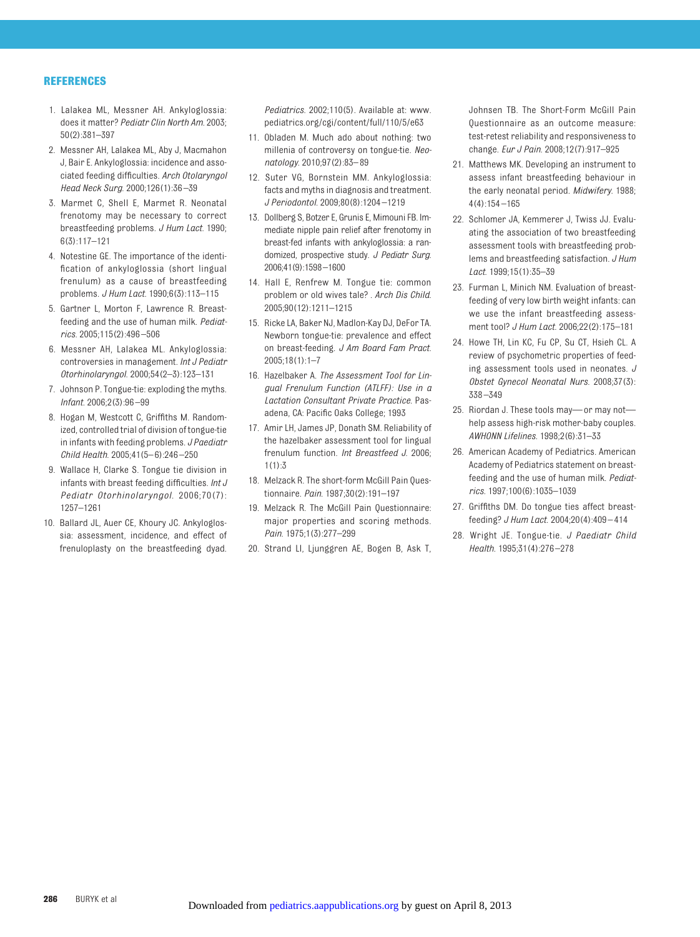#### **REFERENCES**

- <span id="page-7-0"></span>1. Lalakea ML, Messner AH. Ankyloglossia: does it matter? *Pediatr Clin North Am*. 2003; 50(2):381–397
- <span id="page-7-1"></span>2. Messner AH, Lalakea ML, Aby J, Macmahon J, Bair E. Ankyloglossia: incidence and associated feeding difficulties. *Arch Otolaryngol Head Neck Surg*. 2000;126(1):36 –39
- <span id="page-7-2"></span>3. Marmet C, Shell E, Marmet R. Neonatal frenotomy may be necessary to correct breastfeeding problems. *J Hum Lact*. 1990; 6(3):117–121
- <span id="page-7-3"></span>4. Notestine GE. The importance of the identification of ankyloglossia (short lingual frenulum) as a cause of breastfeeding problems. *J Hum Lact*. 1990;6(3):113–115
- <span id="page-7-4"></span>5. Gartner L, Morton F, Lawrence R. Breastfeeding and the use of human milk. *Pediatrics*. 2005;115(2):496 –506
- <span id="page-7-5"></span>6. Messner AH, Lalakea ML. Ankyloglossia: controversies in management. *Int J Pediatr Otorhinolaryngol*. 2000;54(2–3):123–131
- <span id="page-7-6"></span>7. Johnson P. Tongue-tie: exploding the myths. *Infant*. 2006;2(3):96 –99
- <span id="page-7-7"></span>8. Hogan M, Westcott C, Griffiths M. Randomized, controlled trial of division of tongue-tie in infants with feeding problems. *J Paediatr Child Health*. 2005;41(5– 6):246 –250
- <span id="page-7-8"></span>9. Wallace H, Clarke S. Tongue tie division in infants with breast feeding difficulties. *Int J Pediatr Otorhinolaryngol*. 2006;70(7): 1257–1261
- <span id="page-7-9"></span>10. Ballard JL, Auer CE, Khoury JC. Ankyloglossia: assessment, incidence, and effect of frenuloplasty on the breastfeeding dyad.

*Pediatrics*. 2002;110(5). Available at: [www.](www.pediatrics.org/cgi/content/full/110/5/e63) [pediatrics.org/cgi/content/full/110/5/e63](www.pediatrics.org/cgi/content/full/110/5/e63)

- <span id="page-7-10"></span>11. Obladen M. Much ado about nothing: two millenia of controversy on tongue-tie. *Neonatology*. 2010;97(2):83– 89
- <span id="page-7-11"></span>12. Suter VG, Bornstein MM. Ankyloglossia: facts and myths in diagnosis and treatment. *J Periodontol*. 2009;80(8):1204 –1219
- <span id="page-7-12"></span>13. Dollberg S, Botzer E, Grunis E, Mimouni FB. Immediate nipple pain relief after frenotomy in breast-fed infants with ankyloglossia: a randomized, prospective study. *J Pediatr Surg*. 2006;41(9):1598 –1600
- <span id="page-7-27"></span>14. Hall E, Renfrew M. Tongue tie: common problem or old wives tale? . *Arch Dis Child*. 2005;90(12):1211–1215
- <span id="page-7-13"></span>15. Ricke LA, Baker NJ, Madlon-Kay DJ, DeFor TA. Newborn tongue-tie: prevalence and effect on breast-feeding. *J Am Board Fam Pract*. 2005;18(1):1–7
- <span id="page-7-14"></span>16. Hazelbaker A. *The Assessment Tool for Lingual Frenulum Function (ATLFF): Use in a Lactation Consultant Private Practice*. Pasadena, CA: Pacific Oaks College; 1993
- <span id="page-7-15"></span>17. Amir LH, James JP, Donath SM. Reliability of the hazelbaker assessment tool for lingual frenulum function. *Int Breastfeed J*. 2006;  $1(1):3$
- <span id="page-7-16"></span>18. Melzack R. The short-form McGill Pain Questionnaire. *Pain*. 1987;30(2):191–197
- <span id="page-7-17"></span>19. Melzack R. The McGill Pain Questionnaire: major properties and scoring methods. *Pain*. 1975;1(3):277–299
- <span id="page-7-18"></span>20. Strand LI, Ljunggren AE, Bogen B, Ask T,

Johnsen TB. The Short-Form McGill Pain Questionnaire as an outcome measure: test-retest reliability and responsiveness to change. *Eur J Pain*. 2008;12(7):917–925

- <span id="page-7-19"></span>21. Matthews MK. Developing an instrument to assess infant breastfeeding behaviour in the early neonatal period. *Midwifery*. 1988;  $4(4) \cdot 154 - 165$
- <span id="page-7-20"></span>22. Schlomer JA, Kemmerer J, Twiss JJ. Evaluating the association of two breastfeeding assessment tools with breastfeeding problems and breastfeeding satisfaction. *J Hum Lact*. 1999;15(1):35–39
- <span id="page-7-21"></span>23. Furman L, Minich NM. Evaluation of breastfeeding of very low birth weight infants: can we use the infant breastfeeding assessment tool? *J Hum Lact*. 2006;22(2):175–181
- <span id="page-7-22"></span>24. Howe TH, Lin KC, Fu CP, Su CT, Hsieh CL. A review of psychometric properties of feeding assessment tools used in neonates. *J Obstet Gynecol Neonatal Nurs*. 2008;37(3): 338 –349
- <span id="page-7-23"></span>25. Riordan J. These tools may— or may not help assess high-risk mother-baby couples. *AWHONN Lifelines*. 1998;2(6):31–33
- <span id="page-7-24"></span>26. American Academy of Pediatrics. American Academy of Pediatrics statement on breastfeeding and the use of human milk. *Pediatrics*. 1997;100(6):1035–1039
- <span id="page-7-25"></span>27. Griffiths DM. Do tongue ties affect breastfeeding? *J Hum Lact*. 2004;20(4):409 – 414
- <span id="page-7-26"></span>28. Wright JE. Tongue-tie. *J Paediatr Child Health*. 1995;31(4):276 –278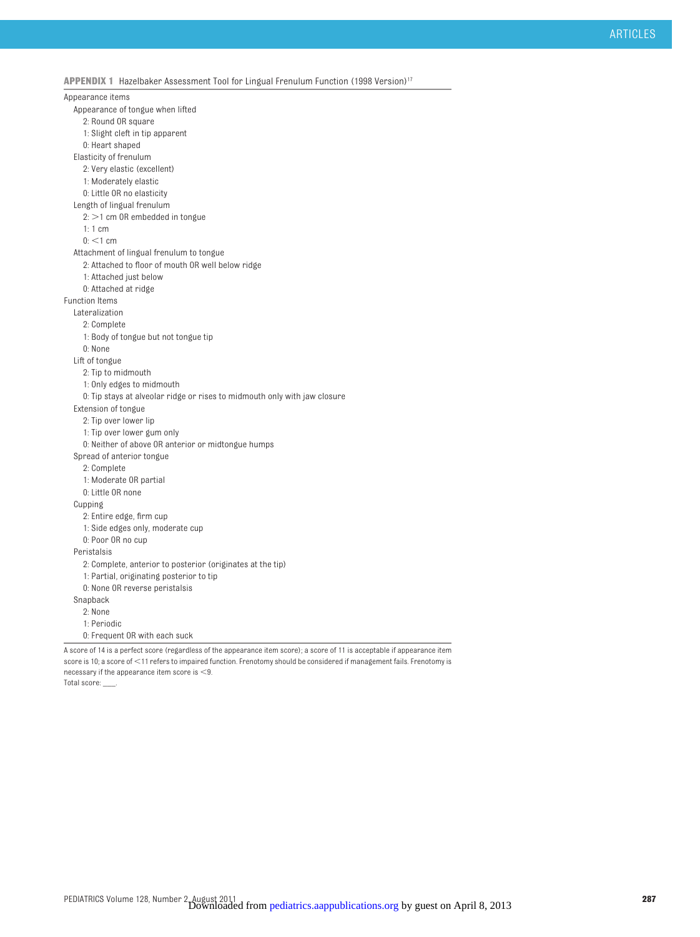**APPENDIX 1** Hazelbaker Assessment Tool for Lingual Frenulum Function (1998 Version[\)17](#page-7-15)

Appearance items Appearance of tongue when lifted 2: Round OR square 1: Slight cleft in tip apparent 0: Heart shaped Elasticity of frenulum 2: Very elastic (excellent) 1: Moderately elastic 0: Little OR no elasticity Length of lingual frenulum  $2:$   $>$ 1 cm OR embedded in tongue 1: 1 cm  $0:$  <1 cm Attachment of lingual frenulum to tongue 2: Attached to floor of mouth OR well below ridge 1: Attached just below 0: Attached at ridge Function Items Lateralization 2: Complete 1: Body of tongue but not tongue tip 0: None Lift of tongue 2: Tip to midmouth 1: Only edges to midmouth 0: Tip stays at alveolar ridge or rises to midmouth only with jaw closure Extension of tongue 2: Tip over lower lip 1: Tip over lower gum only 0: Neither of above OR anterior or midtongue humps Spread of anterior tongue 2: Complete 1: Moderate OR partial 0: Little OR none Cupping 2: Entire edge, firm cup 1: Side edges only, moderate cup 0: Poor OR no cup Peristalsis 2: Complete, anterior to posterior (originates at the tip) 1: Partial, originating posterior to tip 0: None OR reverse peristalsis Snapback 2: None 1: Periodic 0: Frequent OR with each suck A score of 14 is a perfect score (regardless of the appearance item score); a score of 11 is acceptable if appearance item

score is 10; a score of <11 refers to impaired function. Frenotomy should be considered if management fails. Frenotomy is necessary if the appearance item score is  $<$ 9.

Total score: \_\_\_.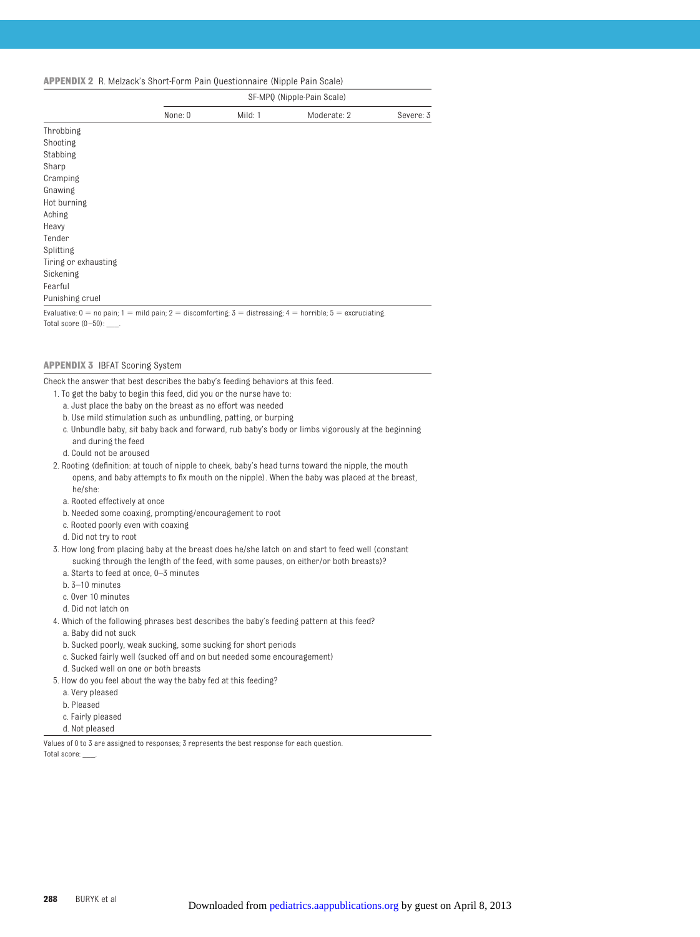#### **APPENDIX 2** R. Melzack's Short-Form Pain Questionnaire (Nipple Pain Scale)

|                                                                                                                                                              | SF-MPQ (Nipple-Pain Scale) |         |             |           |  |
|--------------------------------------------------------------------------------------------------------------------------------------------------------------|----------------------------|---------|-------------|-----------|--|
|                                                                                                                                                              | None: 0                    | Mild: 1 | Moderate: 2 | Severe: 3 |  |
| Throbbing                                                                                                                                                    |                            |         |             |           |  |
| Shooting                                                                                                                                                     |                            |         |             |           |  |
| Stabbing                                                                                                                                                     |                            |         |             |           |  |
| Sharp                                                                                                                                                        |                            |         |             |           |  |
| Cramping                                                                                                                                                     |                            |         |             |           |  |
| Gnawing                                                                                                                                                      |                            |         |             |           |  |
| Hot burning                                                                                                                                                  |                            |         |             |           |  |
| Aching                                                                                                                                                       |                            |         |             |           |  |
| Heavy                                                                                                                                                        |                            |         |             |           |  |
| Tender                                                                                                                                                       |                            |         |             |           |  |
| Splitting                                                                                                                                                    |                            |         |             |           |  |
| Tiring or exhausting                                                                                                                                         |                            |         |             |           |  |
| Sickening                                                                                                                                                    |                            |         |             |           |  |
| Fearful                                                                                                                                                      |                            |         |             |           |  |
| Punishing cruel                                                                                                                                              |                            |         |             |           |  |
| Evaluative: $0 = \text{no}$ pain: $1 = \text{mild pain: } 2 = \text{disconfartinó: } 3 = \text{dietraecino: } 4 = \text{horriblo: } 5 = \text{averuciation}$ |                            |         |             |           |  |

Evaluative:  $0 =$  no pain;  $1 =$  mild pain;  $2 =$  discomforting;  $3 =$  distressing;  $4 =$  horrible;  $5 =$  excruciating. Total score  $(0 - 50)$ : \_\_\_\_.

#### **APPENDIX 3** IBFAT Scoring System

Check the answer that best describes the baby's feeding behaviors at this feed.

- 1. To get the baby to begin this feed, did you or the nurse have to:
	- a. Just place the baby on the breast as no effort was needed
	- b. Use mild stimulation such as unbundling, patting, or burping
	- c. Unbundle baby, sit baby back and forward, rub baby's body or limbs vigorously at the beginning and during the feed
	- d. Could not be aroused
- 2. Rooting (definition: at touch of nipple to cheek, baby's head turns toward the nipple, the mouth opens, and baby attempts to fix mouth on the nipple). When the baby was placed at the breast, he/she:
	- a. Rooted effectively at once
	- b. Needed some coaxing, prompting/encouragement to root
	- c. Rooted poorly even with coaxing
	- d. Did not try to root

#### 3. How long from placing baby at the breast does he/she latch on and start to feed well (constant

- sucking through the length of the feed, with some pauses, on either/or both breasts)?
- a. Starts to feed at once, 0–3 minutes
- b. 3–10 minutes
- c. Over 10 minutes
- d. Did not latch on
- 4. Which of the following phrases best describes the baby's feeding pattern at this feed?
	- a. Baby did not suck
	- b. Sucked poorly, weak sucking, some sucking for short periods
	- c. Sucked fairly well (sucked off and on but needed some encouragement)
	- d. Sucked well on one or both breasts
- 5. How do you feel about the way the baby fed at this feeding?
	- a. Very pleased
	- b. Pleased
	- c. Fairly pleased
	- d. Not pleased

Values of 0 to 3 are assigned to responses; 3 represents the best response for each question. Total score: \_\_\_.